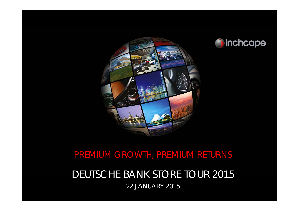



## PREMIUM GROWTH, PREMIUM RETURNS

### DEUTSCHE BANK STORE TOUR 2015 22 JANUARY 2015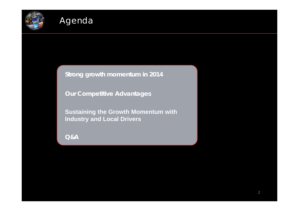

**Strong growth momentum in 2014**

**Our Competitive Advantages**

**Sustaining the Growth Momentum with Industry and Local Drivers**

**Q&A**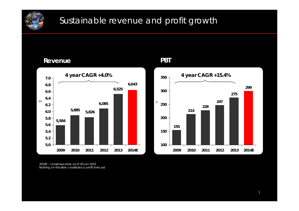

**Revenue**

## Sustainable revenue and profit growth



**PBT**



2014E – consensus data as of 20 Jan 2015Nothing on this slide constitutes a profit forecast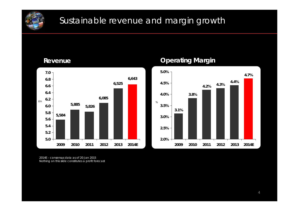

## Sustainable revenue and margin growth

**Revenue**



### **Operating Margin**



2014E – consensus data as of 20 Jan 2015Nothing on this slide constitutes a profit forecast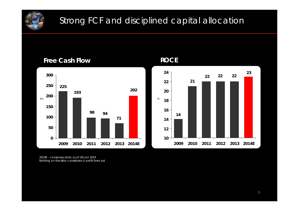

## Strong FCF and disciplined capital allocation







2014E – consensus data as of 20 Jan 2015Nothing on this slide constitutes a profit forecast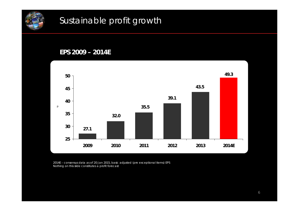

# Sustainable profit growth

#### **EPS 2009 – 2014E**



2014E – consensus data as of 20 Jan 2015, basic adjusted (pre exceptional items) EPS Nothing on this slide constitutes a profit forecast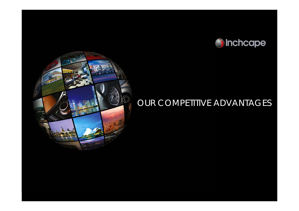



# OUR COMPETITIVE ADVANTAGES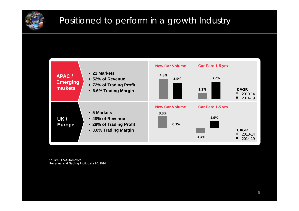

# Positioned to perform in a growth Industry



Source: IHS Automotive Revenue and Trading Profit data H1 2014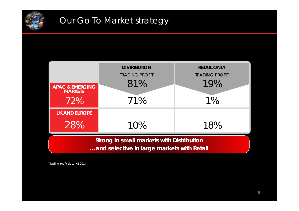



Trading profit data H1 2014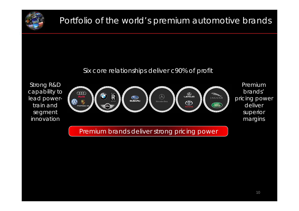

# Portfolio of the world's premium automotive brands

#### Six core relationships deliver c90% of profit

Strong R&D capability to lead powertrain and segment innovation



Premium brands' pricing power deliver superior margins

Premium brands deliver strong pricing power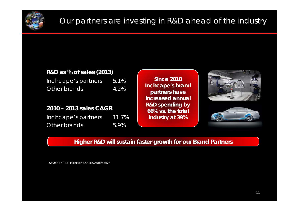

## Our partners are investing in R&D ahead of the industry

#### **R&D as % of sales (2013)**

Inchcape's partners 5.1% Other brands 4.2%

#### **2010 – 2013 sales CAGR**

Inchcape's partners 11.7% Other brands 5.9%

**Since 2010Inchcape's brand partners have increased annual R&D spending by 66% vs. the total industry at 39%**





#### **Higher R&D will sustain faster growth for our Brand Partners**

Sources: OEM Financials and IHS Automotive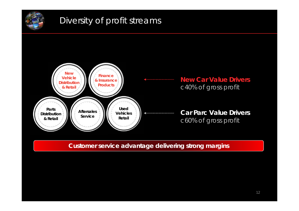

## Diversity of profit streams



#### **Customer service advantage delivering strong margins**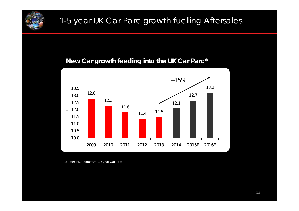

# 1-5 year UK Car Parc growth fuelling Aftersales

#### **New Car growth feeding into the UK Car Parc\***



Source: IHS Automotive, 1-5 year Car Parc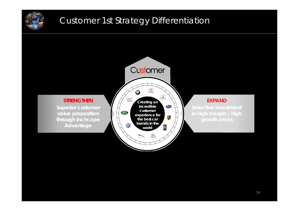

## Customer 1st Strategy Differentiation

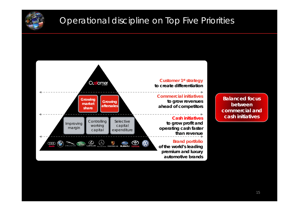

## Operational discipline on Top Five Priorities

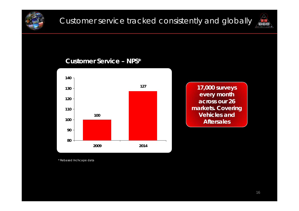



#### **Customer Service – NPS\***



**17,000 surveys every month across our 26 markets. Covering Vehicles and Aftersales**

\* Rebased Inchcape data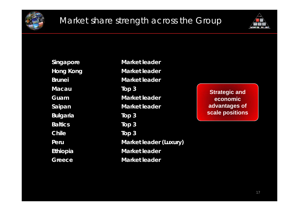



**Macau Top 3 Bulgaria Top 3 Baltics Top 3 Chile Top 3 Greece Market leader**

**Singapore Market leader Hong Kong Market leader Brunei Market leaderGuam Market leader Saipan Market leader Peru Market leader (Luxury) Ethiopia Market leader**

**Strategic and economic advantages of scale positions**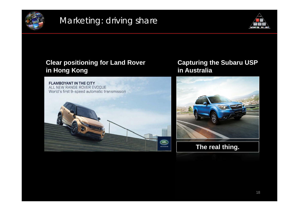

## Marketing: driving share



### **Clear positioning for Land Rover in Hong Kong**



### **Capturing the Subaru USP in Australia**



**The real thing.**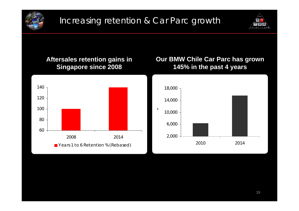



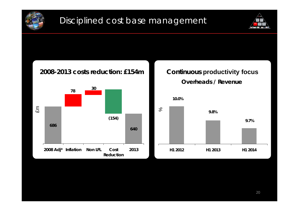



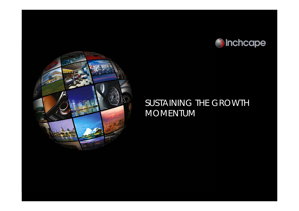



### SUSTAINING THE GROWTH MOMENTUM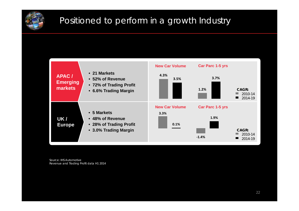

# Positioned to perform in a growth Industry



Source: IHS Automotive Revenue and Trading Profit data H1 2014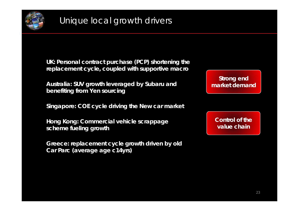

**UK: Personal contract purchase (PCP) shortening the replacement cycle, coupled with supportive macro**

**Australia: SUV growth leveraged by Subaru and benefiting from Yen sourcing**

**Singapore: COE cycle driving the New car market**

**Hong Kong: Commercial vehicle scrappage scheme fueling growth**

**Greece: replacement cycle growth driven by old Car Parc (average age c14yrs)**

**Strong end market demand**

**Control of the value chain**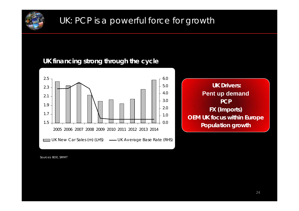

# UK: PCP is a powerful force for growth

### **UK financing strong through the cycle**





Sources: BOE, SMMT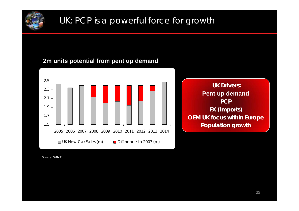

# UK: PCP is a powerful force for growth

#### **2m units potential from pent up demand**



**UK Drivers:Pent up demand PCPFX (Imports) OEM UK focus within Europe Population growth**

Source: SMMT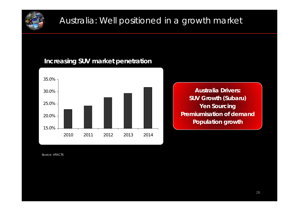

# Australia: Well positioned in a growth market

#### **Increasing SUV market penetration**



**Australia Drivers:SUV Growth (Subaru) Yen Sourcing Premiumisation of demand Population growth**

Source: VFACTS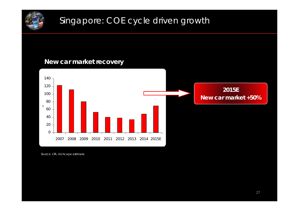

# Singapore: COE cycle driven growth

### **New car market recovery**



Source: LTA, Inchcape estimate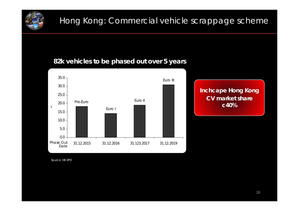

# Hong Kong: Commercial vehicle scrappage scheme

#### **82k vehicles to be phased out over 5 years**



**Inchcape Hong Kong CV market share c40%**

Source: HK EPD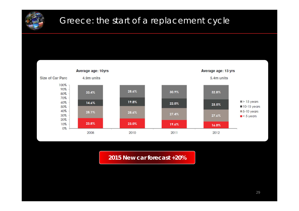

# Greece: the start of a replacement cycle



**2015 New car forecast +20%**